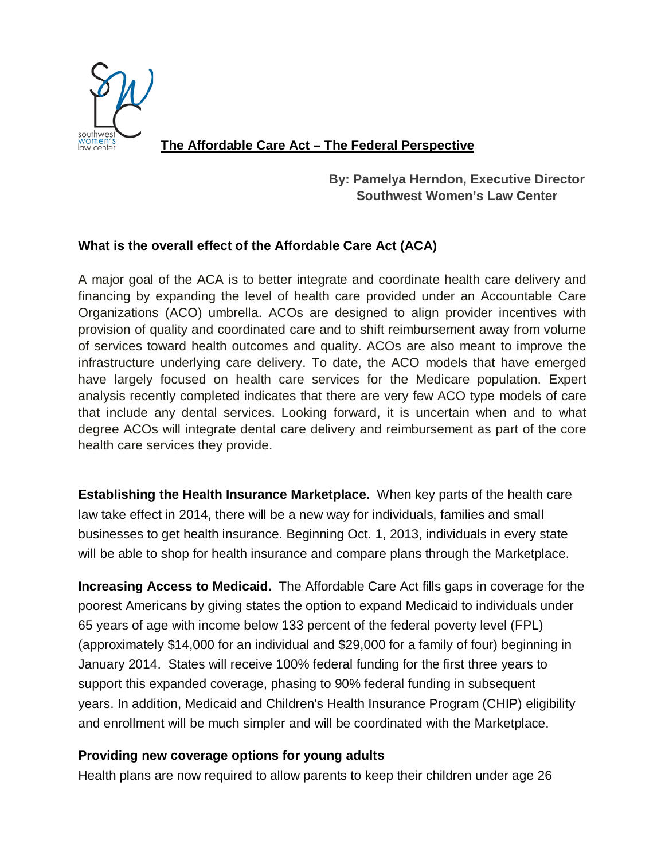

 **The Affordable Care Act – The Federal Perspective**

# **By: Pamelya Herndon, Executive Director Southwest Women's Law Center**

# **What is the overall effect of the Affordable Care Act (ACA)**

A major goal of the ACA is to better integrate and coordinate health care delivery and financing by expanding the level of health care provided under an Accountable Care Organizations (ACO) umbrella. ACOs are designed to align provider incentives with provision of quality and coordinated care and to shift reimbursement away from volume of services toward health outcomes and quality. ACOs are also meant to improve the infrastructure underlying care delivery. To date, the ACO models that have emerged have largely focused on health care services for the Medicare population. Expert analysis recently completed indicates that there are very few ACO type models of care that include any dental services. Looking forward, it is uncertain when and to what degree ACOs will integrate dental care delivery and reimbursement as part of the core health care services they provide.

**Establishing [the Health Insurance Marketplace.](http://www.healthcare.gov/marketplace/index.html)** When key parts of the health care law take effect in 2014, there will be a new way for individuals, families and small businesses to get health insurance. Beginning Oct. 1, 2013, individuals in every state will be able to shop for health insurance and compare plans through the Marketplace.

**[Increasing Access to Medicaid.](http://www.medicaid.gov/AffordableCareAct/Affordable-Care-Act.html)** The Affordable Care Act fills gaps in coverage for the poorest Americans by giving states the option to expand Medicaid to individuals under 65 years of age with income below 133 percent of the federal poverty level (FPL) (approximately \$14,000 for an individual and \$29,000 for a family of four) beginning in January 2014. States will receive 100% federal funding for the first three years to support this expanded coverage, phasing to 90% federal funding in subsequent years. In addition, Medicaid and Children's Health Insurance Program (CHIP) eligibility and enrollment will be much simpler and will be coordinated with the Marketplace.

# **[Providing new coverage options for young adults](http://www.healthcare.gov/law/features/choices/young-adult-coverage/index.html)**

Health plans are now required to allow parents to keep their children under age 26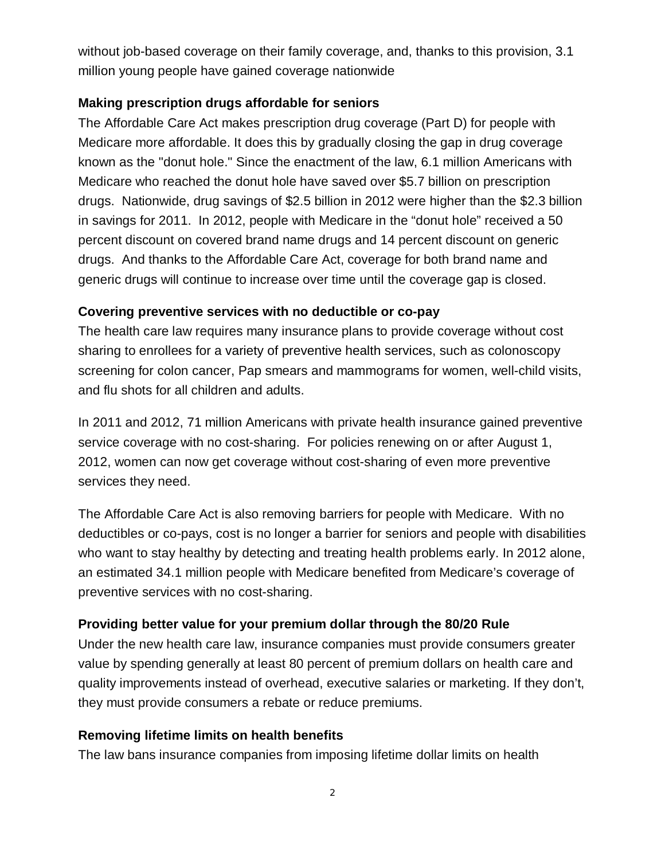without job-based coverage on their family coverage, and, thanks to this provision, [3.1](http://www.healthcare.gov/news/factsheets/2012/06/young-adults06192012a.html)  [million](http://www.healthcare.gov/news/factsheets/2012/06/young-adults06192012a.html) young people have gained coverage nationwide

## **[Making prescription drugs affordable for seniors](http://www.healthcare.gov/law/features/65-older/drug-discounts/index.html)**

The Affordable Care Act makes prescription drug coverage (Part D) for people with Medicare more affordable. It does this by gradually closing the gap in drug coverage known as the "donut hole." Since the enactment of the law, 6.1 million Americans with Medicare who reached the donut hole have saved over \$5.7 billion on prescription drugs. Nationwide, drug savings of \$2.5 billion in 2012 were higher than the \$2.3 billion in savings for 2011. In 2012, people with Medicare in the "donut hole" received a 50 percent discount on covered brand name drugs and 14 percent discount on generic drugs. And thanks to the Affordable Care Act, coverage for both brand name and generic drugs will continue to increase over time until the coverage gap is closed.

## **[Covering preventive services with no deductible or co-pay](http://www.healthcare.gov/law/features/65-older/medicare-preventive-services/index.html)**

The health care law requires many insurance plans to provide coverage without cost sharing to enrollees for a [variety of preventive health services,](http://www.healthcare.gov/news/factsheets/2010/07/preventive-services-list.html) such as colonoscopy screening for colon cancer, Pap smears and mammograms for women, well-child visits, and flu shots for all children and adults.

In 2011 and 2012, [71 million](http://aspe.hhs.gov/health/reports/2013/PreventiveServices/ib_prevention.cfm) Americans with private health insurance gained preventive service coverage with no cost-sharing. For policies renewing on or after August 1, 2012, women can now get coverage without cost-sharing of even more preventive services they need.

The Affordable Care Act is also removing barriers for people with Medicare. With no deductibles or co-pays, cost is no longer a barrier for seniors and people with disabilities who want to stay healthy by detecting and treating health problems early. In 2012 alone, an estimated 34.1 million people with Medicare benefited from Medicare's coverage of preventive services with no cost-sharing.

# **[Providing better value for your premium dollar through the 80/20 Rule](http://www.healthcare.gov/law/features/costs/value-for-premium/index.html)**

Under the new health care law, insurance companies must provide consumers greater value by spending generally at least 80 percent of premium dollars on health care and quality improvements instead of overhead, executive salaries or marketing. If they don't, they must provide consumers a rebate or reduce premiums.

## **[Removing lifetime limits on health benefits](http://www.healthcare.gov/law/features/costs/limits/index.html)**

The law bans insurance companies from imposing lifetime dollar limits on health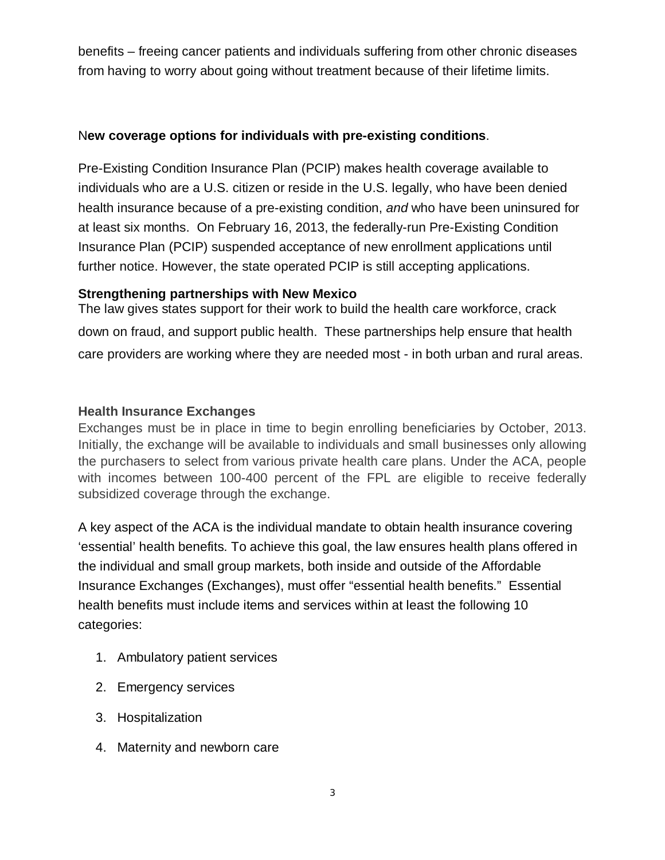benefits – freeing cancer patients and individuals suffering from other chronic diseases from having to worry about going without treatment because of their lifetime limits.

### N**[ew coverage options for individuals with pre-existing conditions](http://www.healthcare.gov/law/features/choices/pre-existing-condition-insurance-plan/index.html)**.

Pre-Existing Condition Insurance Plan (PCIP) makes health coverage available to individuals who are a U.S. citizen or reside in the U.S. legally, who have been denied health insurance because of a pre-existing condition, *and* who have been uninsured for at least six months. On February 16, 2013, the federally-run Pre-Existing Condition Insurance Plan (PCIP) suspended acceptance of new enrollment applications until further notice. However, the state operated PCIP is still accepting applications.

### **Strengthening partnerships with New Mexico**

The law gives states support for their work to build the health care workforce, crack down on fraud, and support public health. These partnerships help ensure that health care providers are working where they are needed most - in both urban and rural areas.

## **Health Insurance Exchanges**

Exchanges must be in place in time to begin enrolling beneficiaries by October, 2013. Initially, the exchange will be available to individuals and small businesses only allowing the purchasers to select from various private health care plans. Under the ACA, people with incomes between 100-400 percent of the FPL are eligible to receive federally subsidized coverage through the exchange.

A key aspect of the ACA is the individual mandate to obtain health insurance covering 'essential' health benefits. To achieve this goal, the law ensures health plans offered in the individual and small group markets, both inside and outside of the Affordable Insurance Exchanges (Exchanges), must offer "essential health benefits." Essential health benefits must include items and services within at least the following 10 categories:

- 1. Ambulatory patient services
- 2. Emergency services
- 3. Hospitalization
- 4. Maternity and newborn care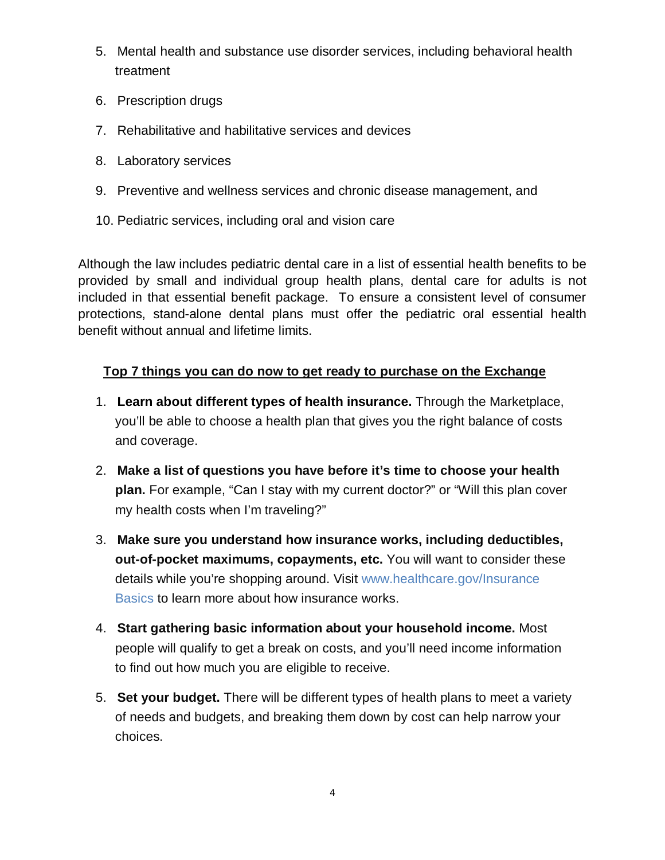- 5. Mental health and substance use disorder services, including behavioral health treatment
- 6. Prescription drugs
- 7. Rehabilitative and habilitative services and devices
- 8. Laboratory services
- 9. Preventive and wellness services and chronic disease management, and
- 10. Pediatric services, including oral and vision care

Although the law includes pediatric dental care in a list of essential health benefits to be provided by small and individual group health plans, dental care for adults is not included in that essential benefit package. To ensure a consistent level of consumer protections, stand-alone dental plans must offer the pediatric oral essential health benefit without annual and lifetime limits.

## **Top 7 things you can do now to get ready to purchase on the Exchange**

- 1. **[Learn about different types of health insurance.](http://www.healthcare.gov/using-insurance/understanding/options/index.html)** Through the Marketplace, you'll be able to choose a health plan that gives you the right balance of costs and coverage.
- 2. **Make a list of questions you have before it's time to choose your health plan.** For example, ["Can I stay with my current doctor?"](http://www.healthcare.gov/using-insurance/understanding/basics/index.html#CanIkeepmycurrentdoctor) or "Will this plan cover my health costs when I'm traveling?"
- 3. **Make sure you understand how insurance works, including deductibles, out-of-pocket maximums, copayments, etc.** You will want to consider these details while you're shopping around. Visit www.healthcare.gov[/Insurance](http://www.healthcare.gov/using-insurance/understanding/basics/index.html)  [Basics](http://www.healthcare.gov/using-insurance/understanding/basics/index.html) to learn more about how insurance works.
- 4. **Start gathering basic information about your household income.** Most people will qualify to get a break on costs, and you'll need income information to find out how much you are eligible to receive.
- 5. **Set your budget.** There will be different types of health plans to meet a variety of needs and budgets, and breaking them down by cost can help narrow your choices.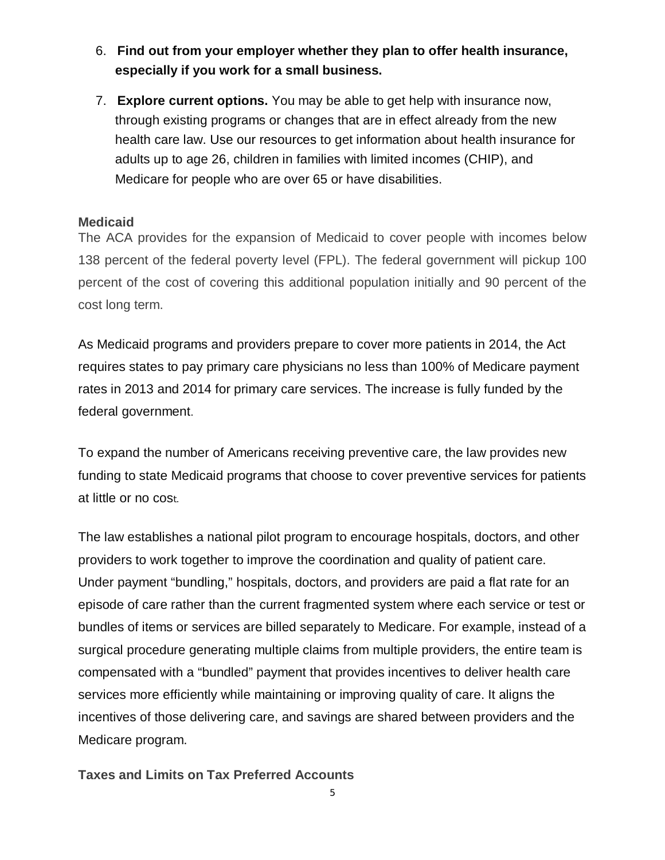- 6. **Find out from your employer whether they plan to offer health insurance, especially if you work for a small business.**
- 7. **Explore current options.** You may be able to get help with insurance now, through existing programs or changes that are in effect already from the new health care law. [Use our resources](http://www.healthcare.gov/law/information-for-you/index.html) to get information about health insurance for adults up to age 26, children in families with limited incomes (CHIP), and Medicare for people who are over 65 or have disabilities.

### **Medicaid**

The ACA provides for the expansion of Medicaid to cover people with incomes below 138 percent of the federal poverty level (FPL). The federal government will pickup 100 percent of the cost of covering this additional population initially and 90 percent of the cost long term.

As Medicaid programs and providers prepare to cover more patients in 2014, the Act requires states to pay primary care physicians no less than 100% of Medicare payment rates in 2013 and 2014 for primary care services. The increase is fully funded by the federal government.

To expand the number of Americans receiving preventive care, the law provides new funding to state Medicaid programs that choose to cover preventive services for patients at little or no cost.

The law establishes a national pilot program to encourage hospitals, doctors, and other providers to work together to improve the coordination and quality of patient care. Under payment ["bundling,](http://www.healthcare.gov/glossary/p/payment-bundling.html)" hospitals, doctors, and providers are paid a flat rate for an episode of care rather than the current fragmented system where each service or test or bundles of items or services are billed separately to Medicare. For example, instead of a surgical procedure generating multiple claims from multiple providers, the entire team is compensated with a "bundled" payment that provides incentives to deliver health care services more efficiently while maintaining or improving quality of care. It aligns the incentives of those delivering care, and savings are shared between providers and the Medicare program.

**Taxes and Limits on Tax Preferred Accounts**

5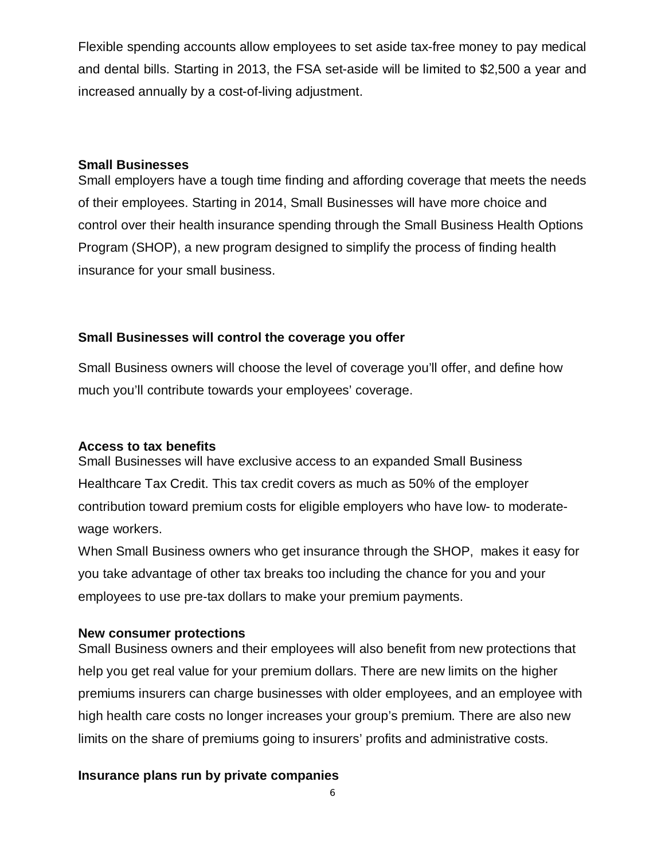Flexible spending accounts allow employees to set aside tax-free money to pay medical and dental bills. Starting in 2013, the FSA set-aside will be limited to \$2,500 a year and increased annually by a cost-of-living adjustment.

#### **Small Businesses**

Small employers have a tough time finding and affording coverage that meets the needs of their employees. Starting in 2014, Small Businesses will have more choice and control over their health insurance spending through the Small Business Health Options Program (SHOP), a new program designed to simplify the process of finding health insurance for your small business.

#### **Small Businesses will control the coverage you offer**

Small Business owners will choose the level of coverage you'll offer, and define how much you'll contribute towards your employees' coverage.

#### **Access to tax benefits**

Small Businesses will have exclusive access to an expanded [Small Business](http://www.irs.gov/uac/Small-Business-Health-Care-Tax-Credit-for-Small-Employers)  [Healthcare Tax Credit.](http://www.irs.gov/uac/Small-Business-Health-Care-Tax-Credit-for-Small-Employers) This tax credit covers as much as 50% of the employer contribution toward premium costs for eligible employers who have low- to moderatewage workers.

When Small Business owners who get insurance through the SHOP, makes it easy for you take advantage of other tax breaks too including the chance for you and your employees to use pre-tax dollars to make your premium payments.

#### **New consumer protections**

Small Business owners and their employees will also benefit from new protections that help you get real value for your premium dollars. There are new limits on the higher premiums insurers can charge businesses with older employees, and an employee with high health care costs no longer increases your group's premium. There are also new limits on the share of premiums going to insurers' profits and administrative costs.

#### **Insurance plans run by private companies**